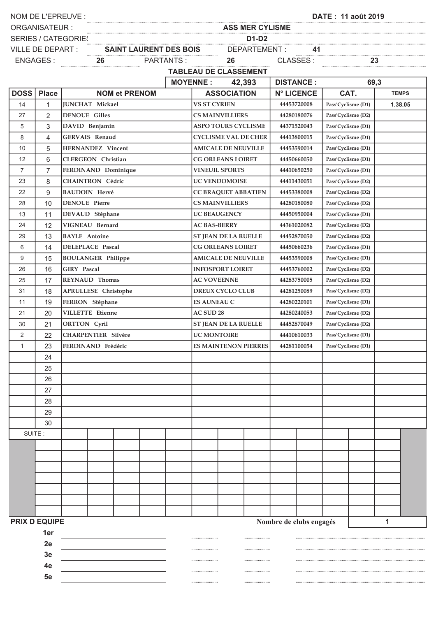| NOM DE L'EPREUVE :   |                |                            |  |  |  |  | <u> DATE: 11 août 2019</u>                                                                                                                                                                                                     |                                   |   |             |                         |                    |                    |              |  |  |
|----------------------|----------------|----------------------------|--|--|--|--|--------------------------------------------------------------------------------------------------------------------------------------------------------------------------------------------------------------------------------|-----------------------------------|---|-------------|-------------------------|--------------------|--------------------|--------------|--|--|
| <b>ORGANISATEUR:</b> |                |                            |  |  |  |  | ass MER CYLISME And the communication of the communication of the communication of the communication of the communication of the communication of the communication of the communication of the communication of the communica |                                   |   |             |                         |                    |                    |              |  |  |
|                      |                | <b>SERIES / CATEGORIES</b> |  |  |  |  | EGORIES<br>ART : SAINT LAURENT DES BOIS DEPARTEMENT : 41<br>26 PARTANTS : 26 CLASSES : 23<br>23 TABLETILER : 26 CLASSES : 23                                                                                                   |                                   |   |             |                         |                    |                    |              |  |  |
| VILLE DE DEPART :    |                |                            |  |  |  |  |                                                                                                                                                                                                                                |                                   |   |             |                         |                    |                    |              |  |  |
| ENGAGES :            |                |                            |  |  |  |  |                                                                                                                                                                                                                                |                                   |   |             |                         |                    |                    |              |  |  |
|                      |                |                            |  |  |  |  |                                                                                                                                                                                                                                | <b>TABLEAU DE CLASSEMENT</b>      |   |             |                         |                    |                    |              |  |  |
|                      |                |                            |  |  |  |  |                                                                                                                                                                                                                                | <b>MOYENNE:</b> 42,393            |   |             | <b>DISTANCE:</b>        |                    | 69,3               |              |  |  |
| <b>DOSS</b>          | <b>Place</b>   | <b>NOM et PRENOM</b>       |  |  |  |  |                                                                                                                                                                                                                                | <b>ASSOCIATION</b>                |   |             | <b>N° LICENCE</b>       |                    | CAT.               | <b>TEMPS</b> |  |  |
| 14                   | $\mathbf{1}$   | JUNCHAT Mickael            |  |  |  |  |                                                                                                                                                                                                                                | <b>VS ST CYRIEN</b>               |   |             | 44453720008             |                    | Pass'Cyclisme (D1) | 1.38.05      |  |  |
| 27                   | 2              | <b>DENOUE Gilles</b>       |  |  |  |  |                                                                                                                                                                                                                                | <b>CS MAINVILLIERS</b>            |   |             | 44280180076             |                    | Pass'Cyclisme (D2) |              |  |  |
| 5                    | 3              | DAVID Benjamin             |  |  |  |  |                                                                                                                                                                                                                                | <b>ASPO TOURS CYCLISME</b>        |   |             | 44371520043             |                    |                    |              |  |  |
| 8                    | $\overline{4}$ | <b>GERVAIS Renaud</b>      |  |  |  |  |                                                                                                                                                                                                                                | <b>CYCLISME VAL DE CHER</b>       |   |             | 44413800015             |                    |                    |              |  |  |
| 10                   | 5              | <b>HERNANDEZ</b> Vincent   |  |  |  |  |                                                                                                                                                                                                                                | <b>AMICALE DE NEUVILLE</b>        |   |             | 44453590014             | Pass'Cyclisme (D1) |                    |              |  |  |
| 12                   | 6              | <b>CLERGEON</b> Christian  |  |  |  |  |                                                                                                                                                                                                                                | <b>CG ORLEANS LOIRET</b>          |   | 44450660050 | Pass'Cyclisme (D1)      |                    |                    |              |  |  |
| $\overline{7}$       | $\overline{7}$ | FERDINAND Dominique        |  |  |  |  |                                                                                                                                                                                                                                | <b>VINEUIL SPORTS</b>             |   |             | 44410650250             |                    | Pass'Cyclisme (D1) |              |  |  |
| 23                   | 8              | <b>CHAINTRON Cédric</b>    |  |  |  |  | <b>UC VENDOMOISE</b><br>44411430051                                                                                                                                                                                            |                                   |   |             |                         |                    | Pass'Cyclisme (D2) |              |  |  |
| 22                   | 9              | <b>BAUDOIN Hervé</b>       |  |  |  |  |                                                                                                                                                                                                                                | <b>CC BRAQUET ABBATIEN</b>        |   |             | 44453380008             |                    | Pass'Cyclisme (D2) |              |  |  |
| 28                   | 10             | <b>DENOUE</b> Pierre       |  |  |  |  |                                                                                                                                                                                                                                | <b>CS MAINVILLIERS</b>            |   |             | 44280180080             |                    | Pass'Cyclisme (D2) |              |  |  |
| 13                   | 11             | DEVAUD Stéphane            |  |  |  |  |                                                                                                                                                                                                                                | <b>UC BEAUGENCY</b>               |   |             | 44450950004             |                    | Pass'Cyclisme (D1) |              |  |  |
| 24                   | 12             | VIGNEAU Bernard            |  |  |  |  | <b>AC BAS-BERRY</b>                                                                                                                                                                                                            |                                   |   |             | 44361020082             |                    | Pass'Cyclisme (D2) |              |  |  |
| 29                   | 13             | <b>BAYLE</b> Antoine       |  |  |  |  |                                                                                                                                                                                                                                | <b>ST JEAN DE LA RUELLE</b>       |   |             | 44452870050             |                    | Pass'Cyclisme (D2) |              |  |  |
| 6                    | 14             | <b>DELEPLACE Pascal</b>    |  |  |  |  |                                                                                                                                                                                                                                | <b>CG ORLEANS LOIRET</b>          |   |             | 44450660236             |                    | Pass'Cyclisme (D1) |              |  |  |
| 9                    | 15             | <b>BOULANGER Philippe</b>  |  |  |  |  |                                                                                                                                                                                                                                | <b>AMICALE DE NEUVILLE</b>        |   |             | 44453590008             |                    | Pass'Cyclisme (D1) |              |  |  |
| 26                   | 16             | <b>GIRY</b> Pascal         |  |  |  |  |                                                                                                                                                                                                                                | <b>INFOSPORT LOIRET</b>           |   |             | 44453760002             | Pass'Cyclisme (D2) |                    |              |  |  |
| 25                   | 17             | <b>REYNAUD</b> Thomas      |  |  |  |  |                                                                                                                                                                                                                                | <b>AC VOVEENNE</b><br>44283750005 |   |             |                         |                    | Pass'Cyclisme (D2) |              |  |  |
| 31                   | 18             | APRULLESE Christophe       |  |  |  |  | <b>DREUX CYCLO CLUB</b><br>44281250089                                                                                                                                                                                         |                                   |   |             |                         |                    | Pass'Cyclisme (D2) |              |  |  |
| 11                   | 19             | FERRON Stéphane            |  |  |  |  | <b>ES AUNEAU C</b>                                                                                                                                                                                                             |                                   |   |             | 44280220101             |                    | Pass'Cyclisme (D1) |              |  |  |
| 21                   | 20             | <b>VILLETTE</b> Etienne    |  |  |  |  | <b>AC SUD 28</b><br>44280240053                                                                                                                                                                                                |                                   |   |             |                         | Pass'Cyclisme (D2) |                    |              |  |  |
| 30                   | 21             | <b>ORTTON Cyril</b>        |  |  |  |  |                                                                                                                                                                                                                                | <b>ST JEAN DE LA RUELLE</b>       |   |             | 44452870049             |                    | Pass'Cyclisme (D2) |              |  |  |
| 2                    | 22             | <b>CHARPENTIER Silvère</b> |  |  |  |  | <b>UC MONTOIRE</b><br>44410610033                                                                                                                                                                                              |                                   |   |             |                         | Pass'Cyclisme (D1) |                    |              |  |  |
| 1                    | 23             | FERDINAND Frédéric         |  |  |  |  | <b>ES MAINTENON PIERRES</b><br>44281100054                                                                                                                                                                                     |                                   |   |             |                         |                    | Pass'Cyclisme (D1) |              |  |  |
|                      | 24             |                            |  |  |  |  |                                                                                                                                                                                                                                |                                   |   |             |                         |                    |                    |              |  |  |
|                      | 25             |                            |  |  |  |  |                                                                                                                                                                                                                                |                                   |   |             |                         |                    |                    |              |  |  |
|                      | 26             |                            |  |  |  |  |                                                                                                                                                                                                                                |                                   |   |             |                         |                    |                    |              |  |  |
|                      | 27             |                            |  |  |  |  |                                                                                                                                                                                                                                |                                   |   |             |                         |                    |                    |              |  |  |
|                      | 28             |                            |  |  |  |  |                                                                                                                                                                                                                                |                                   |   |             |                         |                    |                    |              |  |  |
|                      | 29             |                            |  |  |  |  |                                                                                                                                                                                                                                |                                   |   |             |                         |                    |                    |              |  |  |
|                      | 30             |                            |  |  |  |  |                                                                                                                                                                                                                                |                                   |   |             |                         |                    |                    |              |  |  |
| SUITE:               |                |                            |  |  |  |  |                                                                                                                                                                                                                                |                                   |   |             |                         |                    |                    |              |  |  |
|                      |                |                            |  |  |  |  |                                                                                                                                                                                                                                |                                   |   |             |                         |                    |                    |              |  |  |
|                      |                |                            |  |  |  |  |                                                                                                                                                                                                                                |                                   |   |             |                         |                    |                    |              |  |  |
|                      |                |                            |  |  |  |  |                                                                                                                                                                                                                                |                                   |   |             |                         |                    |                    |              |  |  |
|                      |                |                            |  |  |  |  |                                                                                                                                                                                                                                |                                   |   |             |                         |                    |                    |              |  |  |
|                      |                |                            |  |  |  |  |                                                                                                                                                                                                                                |                                   |   |             |                         |                    |                    |              |  |  |
|                      |                |                            |  |  |  |  |                                                                                                                                                                                                                                |                                   |   |             |                         |                    |                    |              |  |  |
|                      |                |                            |  |  |  |  |                                                                                                                                                                                                                                |                                   |   |             |                         |                    |                    |              |  |  |
| <b>PRIX D EQUIPE</b> |                |                            |  |  |  |  |                                                                                                                                                                                                                                |                                   |   |             | Nombre de clubs engagés |                    |                    | 1            |  |  |
|                      | 1er<br>        |                            |  |  |  |  |                                                                                                                                                                                                                                |                                   |   |             |                         |                    |                    |              |  |  |
|                      | 2e             |                            |  |  |  |  |                                                                                                                                                                                                                                |                                   |   |             |                         |                    |                    |              |  |  |
|                      | 3e             |                            |  |  |  |  |                                                                                                                                                                                                                                |                                   |   |             |                         |                    |                    |              |  |  |
|                      | 4е             |                            |  |  |  |  |                                                                                                                                                                                                                                |                                   |   |             |                         |                    |                    |              |  |  |
|                      | 5е             |                            |  |  |  |  |                                                                                                                                                                                                                                |                                   | . |             |                         |                    |                    |              |  |  |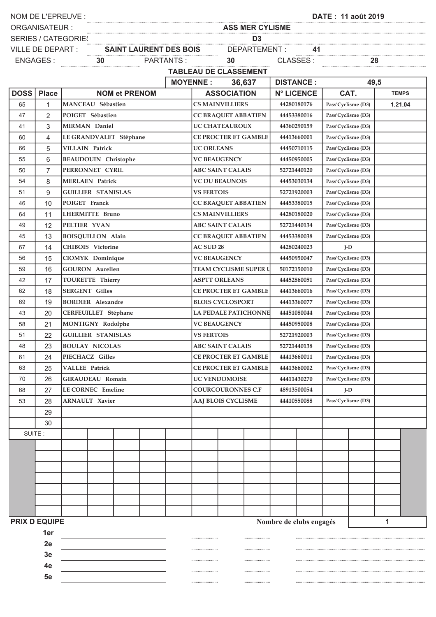| NOM DE L'EPREUVE :                                   |                 |                             |  |  |  |  |                                            |                                                                                                                  |                             |                   |                    |                    |                    |              |  |  |  |
|------------------------------------------------------|-----------------|-----------------------------|--|--|--|--|--------------------------------------------|------------------------------------------------------------------------------------------------------------------|-----------------------------|-------------------|--------------------|--------------------|--------------------|--------------|--|--|--|
| <b>ORGANISATEUR:</b>                                 |                 |                             |  |  |  |  |                                            | ASS MER CYLISME                                                                                                  |                             |                   |                    |                    |                    |              |  |  |  |
| <b>SERIES / CATEGORIES</b>                           |                 |                             |  |  |  |  |                                            | EGORIES<br>ART : SAINT LAURENT DES BOIS DEPARTEMENT : 41<br>30 DEPARTEMENT : 41<br>30 DARTANTS : 30 CLASSES : 28 |                             |                   |                    |                    |                    |              |  |  |  |
| <b>VILLE DE DEPART :</b>                             |                 |                             |  |  |  |  |                                            | $\sqrt{1}$ : 41<br>CLASSES: 28                                                                                   |                             |                   |                    |                    |                    |              |  |  |  |
|                                                      | <b>ENGAGES:</b> |                             |  |  |  |  |                                            |                                                                                                                  |                             |                   |                    |                    |                    |              |  |  |  |
|                                                      |                 |                             |  |  |  |  |                                            | <b>TABLEAU DE CLASSEMENT</b>                                                                                     |                             |                   |                    |                    |                    |              |  |  |  |
|                                                      |                 |                             |  |  |  |  | <b>MOYENNE:</b>                            | 36,637                                                                                                           |                             |                   | <b>DISTANCE:</b>   | 49,5               |                    |              |  |  |  |
| <b>DOSS</b>                                          | <b>Place</b>    | <b>NOM et PRENOM</b>        |  |  |  |  | <b>ASSOCIATION</b>                         |                                                                                                                  |                             | <b>N° LICENCE</b> | CAT.               |                    |                    | <b>TEMPS</b> |  |  |  |
| 65                                                   | $\mathbf{1}$    | MANCEAU Sébastien           |  |  |  |  |                                            | <b>CS MAINVILLIERS</b>                                                                                           |                             |                   | 44280180176        | Pass'Cyclisme (D3) | 1.21.04            |              |  |  |  |
| 47                                                   | $\overline{2}$  | POIGET Sébastien            |  |  |  |  | <b>CC BRAQUET ABBATIEN</b>                 |                                                                                                                  |                             |                   | 44453380016        |                    | Pass'Cyclisme (D3) |              |  |  |  |
| 41                                                   | 3               | <b>MIRMAN</b> Daniel        |  |  |  |  | <b>UC CHATEAUROUX</b>                      |                                                                                                                  |                             |                   | 44360290159        | Pass'Cyclisme (D3) |                    |              |  |  |  |
| 60                                                   | 4               | LE GRANDVALET Stéphane      |  |  |  |  |                                            | <b>CE PROCTER ET GAMBLE</b>                                                                                      |                             |                   | 44413660001        |                    |                    |              |  |  |  |
| 66                                                   | 5               | <b>VILLAIN Patrick</b>      |  |  |  |  | <b>UC ORLEANS</b>                          |                                                                                                                  |                             |                   | 44450710115        | Pass'Cyclisme (D3) |                    |              |  |  |  |
| 55                                                   | 6               | <b>BEAUDOUIN</b> Christophe |  |  |  |  |                                            | <b>VC BEAUGENCY</b>                                                                                              |                             | 44450950005       | Pass'Cyclisme (D3) |                    |                    |              |  |  |  |
| 50                                                   | $\overline{7}$  | PERRONNET CYRIL             |  |  |  |  |                                            | <b>ABC SAINT CALAIS</b>                                                                                          |                             |                   | 52721440120        |                    | Pass'Cyclisme (D3) |              |  |  |  |
| 54                                                   | 8               | <b>MERLAEN Patrick</b>      |  |  |  |  |                                            | <b>VC DU BEAUNOIS</b>                                                                                            |                             |                   | 44453030134        | Pass'Cyclisme (D3) |                    |              |  |  |  |
| 51                                                   | 9               | <b>GUILLIER STANISLAS</b>   |  |  |  |  | <b>VS FERTOIS</b>                          |                                                                                                                  |                             |                   | 52721920003        | Pass'Cyclisme (D3) |                    |              |  |  |  |
| 46                                                   | 10              | POIGET Franck               |  |  |  |  |                                            | <b>CC BRAQUET ABBATIEN</b>                                                                                       |                             |                   | 44453380015        | Pass'Cyclisme (D3) |                    |              |  |  |  |
| 64                                                   | 11              | <b>LHERMITTE Bruno</b>      |  |  |  |  |                                            | <b>CS MAINVILLIERS</b>                                                                                           |                             |                   | 44280180020        |                    | Pass'Cyclisme (D3) |              |  |  |  |
| 49                                                   | 12              | PELTIER YVAN                |  |  |  |  |                                            | <b>ABC SAINT CALAIS</b>                                                                                          |                             |                   | 52721440134        |                    | Pass'Cyclisme (D3) |              |  |  |  |
| 45                                                   | 13              | <b>BOISQUILLON Alain</b>    |  |  |  |  |                                            | <b>CC BRAQUET ABBATIEN</b>                                                                                       |                             |                   | 44453380038        |                    | Pass'Cyclisme (D3) |              |  |  |  |
| 67                                                   | 14              | <b>CHIBOIS</b> Victorine    |  |  |  |  | <b>AC SUD 28</b>                           |                                                                                                                  |                             |                   | 44280240023        | $I-D$              |                    |              |  |  |  |
| 56                                                   | 15              | CIOMYK Dominique            |  |  |  |  |                                            | <b>VC BEAUGENCY</b>                                                                                              |                             |                   | 44450950047        |                    | Pass'Cyclisme (D3) |              |  |  |  |
| 59                                                   | 16              | <b>GOURON</b> Aurelien      |  |  |  |  |                                            | <b>TEAM CYCLISME SUPER U</b>                                                                                     |                             |                   | 50172150010        |                    | Pass'Cyclisme (D3) |              |  |  |  |
| 42                                                   | 17              | TOURETTE Thierry            |  |  |  |  |                                            | <b>ASPTT ORLEANS</b>                                                                                             |                             |                   | 44452860051        | Pass'Cyclisme (D3) |                    |              |  |  |  |
| 62                                                   | 18              | <b>SERGENT Gilles</b>       |  |  |  |  |                                            | <b>CE PROCTER ET GAMBLE</b>                                                                                      |                             |                   | 44413660016        | Pass'Cyclisme (D3) |                    |              |  |  |  |
| 69                                                   | 19              | <b>BORDIER</b> Alexandre    |  |  |  |  |                                            | <b>BLOIS CYCLOSPORT</b>                                                                                          |                             |                   | 44413360077        |                    | Pass'Cyclisme (D3) |              |  |  |  |
| 43                                                   | 20              | CERFEUILLET Stéphane        |  |  |  |  |                                            |                                                                                                                  | <b>LA PEDALE PATICHONNE</b> |                   | 44451080044        |                    | Pass'Cyclisme (D3) |              |  |  |  |
| 58                                                   | 21              | MONTIGNY Rodolphe           |  |  |  |  |                                            | <b>VC BEAUGENCY</b>                                                                                              |                             |                   | 44450950008        |                    | Pass'Cyclisme (D3) |              |  |  |  |
| 51                                                   | 22              | <b>GUILLIER STANISLAS</b>   |  |  |  |  | <b>VS FERTOIS</b>                          |                                                                                                                  |                             |                   | 52721920003        |                    | Pass'Cyclisme (D3) |              |  |  |  |
| 48                                                   | 23              | <b>BOULAY NICOLAS</b>       |  |  |  |  |                                            | <b>ABC SAINT CALAIS</b>                                                                                          |                             |                   | 52721440138        |                    | Pass'Cyclisme (D3) |              |  |  |  |
| 61                                                   | 24              | PIECHACZ Gilles             |  |  |  |  |                                            | <b>CE PROCTER ET GAMBLE</b>                                                                                      |                             |                   | 44413660011        |                    | Pass'Cyclisme (D3) |              |  |  |  |
| 63                                                   | 25              | <b>VALLEE Patrick</b>       |  |  |  |  | <b>CE PROCTER ET GAMBLE</b><br>44413660002 |                                                                                                                  |                             |                   |                    |                    | Pass'Cyclisme (D3) |              |  |  |  |
| 70                                                   | 26              | <b>GIRAUDEAU Romain</b>     |  |  |  |  |                                            | <b>UC VENDOMOISE</b>                                                                                             |                             |                   | 44411430270        |                    | Pass'Cyclisme (D3) |              |  |  |  |
| 68                                                   | 27              | <b>LE CORNEC Emeline</b>    |  |  |  |  | <b>COURCOURONNES C.F</b>                   |                                                                                                                  |                             |                   | 48913500054        |                    | $I-D$              |              |  |  |  |
| 53                                                   | 28              | <b>ARNAULT Xavier</b>       |  |  |  |  |                                            | <b>AAJ BLOIS CYCLISME</b>                                                                                        |                             |                   | 44410550088        |                    | Pass'Cyclisme (D3) |              |  |  |  |
|                                                      | 29              |                             |  |  |  |  |                                            |                                                                                                                  |                             |                   |                    |                    |                    |              |  |  |  |
|                                                      | 30              |                             |  |  |  |  |                                            |                                                                                                                  |                             |                   |                    |                    |                    |              |  |  |  |
| SUITE:                                               |                 |                             |  |  |  |  |                                            |                                                                                                                  |                             |                   |                    |                    |                    |              |  |  |  |
|                                                      |                 |                             |  |  |  |  |                                            |                                                                                                                  |                             |                   |                    |                    |                    |              |  |  |  |
|                                                      |                 |                             |  |  |  |  |                                            |                                                                                                                  |                             |                   |                    |                    |                    |              |  |  |  |
|                                                      |                 |                             |  |  |  |  |                                            |                                                                                                                  |                             |                   |                    |                    |                    |              |  |  |  |
|                                                      |                 |                             |  |  |  |  |                                            |                                                                                                                  |                             |                   |                    |                    |                    |              |  |  |  |
|                                                      |                 |                             |  |  |  |  |                                            |                                                                                                                  |                             |                   |                    |                    |                    |              |  |  |  |
|                                                      |                 |                             |  |  |  |  |                                            |                                                                                                                  |                             |                   |                    |                    |                    |              |  |  |  |
|                                                      |                 |                             |  |  |  |  |                                            |                                                                                                                  |                             |                   |                    |                    |                    |              |  |  |  |
| <b>PRIX D EQUIPE</b><br>Nombre de clubs engagés<br>1 |                 |                             |  |  |  |  |                                            |                                                                                                                  |                             |                   |                    |                    |                    |              |  |  |  |
| 1er                                                  |                 |                             |  |  |  |  |                                            |                                                                                                                  |                             |                   |                    |                    |                    |              |  |  |  |
|                                                      | 2e              |                             |  |  |  |  |                                            |                                                                                                                  |                             |                   |                    |                    |                    |              |  |  |  |
|                                                      | 3e              |                             |  |  |  |  |                                            |                                                                                                                  |                             |                   |                    |                    |                    |              |  |  |  |
| 4e                                                   |                 |                             |  |  |  |  |                                            |                                                                                                                  |                             |                   |                    |                    |                    |              |  |  |  |
|                                                      | 5e              |                             |  |  |  |  | ,,,,,,,,,,,,,,,,,,,,,,                     |                                                                                                                  |                             |                   |                    |                    |                    |              |  |  |  |